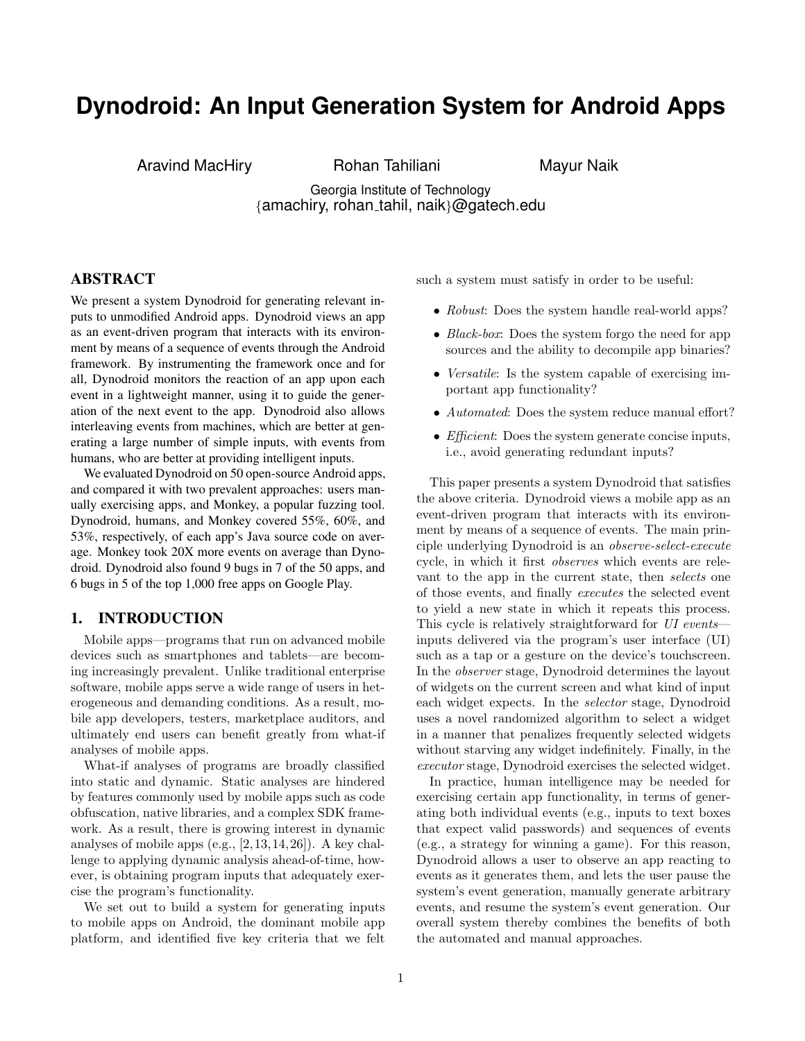# **Dynodroid: An Input Generation System for Android Apps**

Aravind MacHiry **Rohan Tahiliani** Mayur Naik

Georgia Institute of Technology {amachiry, rohan tahil, naik}@gatech.edu

## ABSTRACT

We present a system Dynodroid for generating relevant inputs to unmodified Android apps. Dynodroid views an app as an event-driven program that interacts with its environment by means of a sequence of events through the Android framework. By instrumenting the framework once and for all, Dynodroid monitors the reaction of an app upon each event in a lightweight manner, using it to guide the generation of the next event to the app. Dynodroid also allows interleaving events from machines, which are better at generating a large number of simple inputs, with events from humans, who are better at providing intelligent inputs.

We evaluated Dynodroid on 50 open-source Android apps, and compared it with two prevalent approaches: users manually exercising apps, and Monkey, a popular fuzzing tool. Dynodroid, humans, and Monkey covered 55%, 60%, and 53%, respectively, of each app's Java source code on average. Monkey took 20X more events on average than Dynodroid. Dynodroid also found 9 bugs in 7 of the 50 apps, and 6 bugs in 5 of the top 1,000 free apps on Google Play.

## 1. INTRODUCTION

Mobile apps—programs that run on advanced mobile devices such as smartphones and tablets—are becoming increasingly prevalent. Unlike traditional enterprise software, mobile apps serve a wide range of users in heterogeneous and demanding conditions. As a result, mobile app developers, testers, marketplace auditors, and ultimately end users can benefit greatly from what-if analyses of mobile apps.

What-if analyses of programs are broadly classified into static and dynamic. Static analyses are hindered by features commonly used by mobile apps such as code obfuscation, native libraries, and a complex SDK framework. As a result, there is growing interest in dynamic analyses of mobile apps (e.g., [2,13,14,26]). A key challenge to applying dynamic analysis ahead-of-time, however, is obtaining program inputs that adequately exercise the program's functionality.

We set out to build a system for generating inputs to mobile apps on Android, the dominant mobile app platform, and identified five key criteria that we felt

such a system must satisfy in order to be useful:

- Robust: Does the system handle real-world apps?
- *Black-box*: Does the system forgo the need for app sources and the ability to decompile app binaries?
- *Versatile*: Is the system capable of exercising important app functionality?
- Automated: Does the system reduce manual effort?
- *Efficient*: Does the system generate concise inputs, i.e., avoid generating redundant inputs?

This paper presents a system Dynodroid that satisfies the above criteria. Dynodroid views a mobile app as an event-driven program that interacts with its environment by means of a sequence of events. The main principle underlying Dynodroid is an observe-select-execute cycle, in which it first observes which events are relevant to the app in the current state, then selects one of those events, and finally executes the selected event to yield a new state in which it repeats this process. This cycle is relatively straightforward for UI events inputs delivered via the program's user interface (UI) such as a tap or a gesture on the device's touchscreen. In the observer stage, Dynodroid determines the layout of widgets on the current screen and what kind of input each widget expects. In the selector stage, Dynodroid uses a novel randomized algorithm to select a widget in a manner that penalizes frequently selected widgets without starving any widget indefinitely. Finally, in the executor stage, Dynodroid exercises the selected widget.

In practice, human intelligence may be needed for exercising certain app functionality, in terms of generating both individual events (e.g., inputs to text boxes that expect valid passwords) and sequences of events (e.g., a strategy for winning a game). For this reason, Dynodroid allows a user to observe an app reacting to events as it generates them, and lets the user pause the system's event generation, manually generate arbitrary events, and resume the system's event generation. Our overall system thereby combines the benefits of both the automated and manual approaches.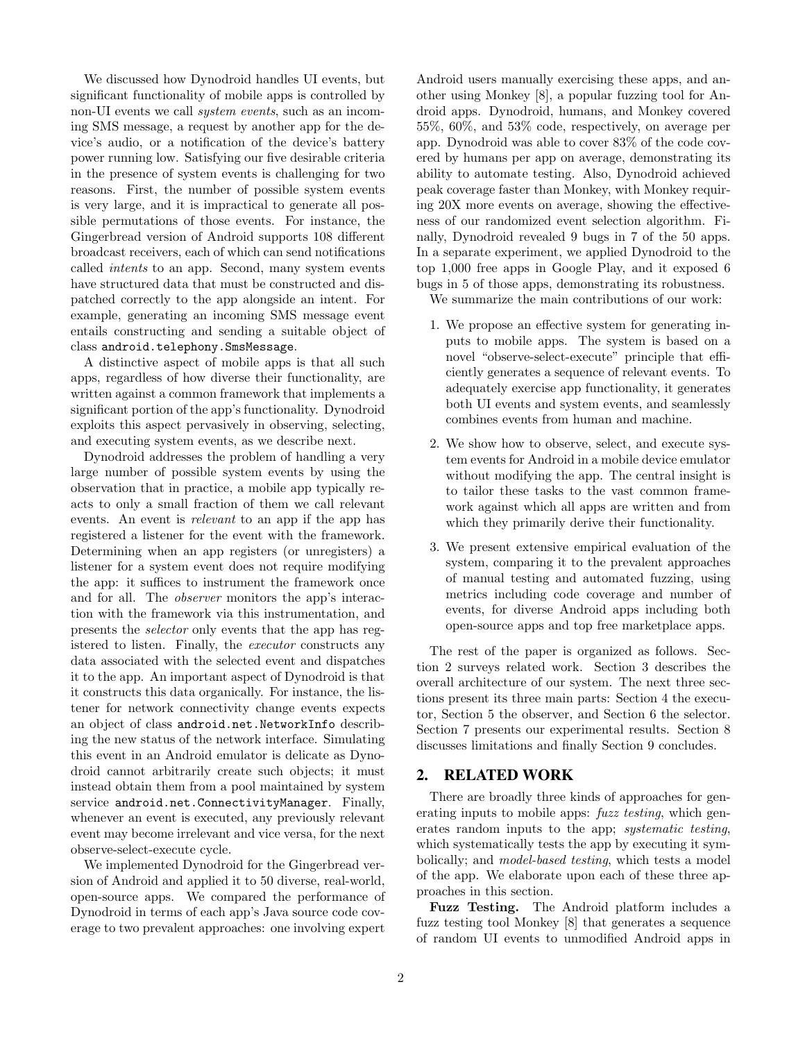We discussed how Dynodroid handles UI events, but significant functionality of mobile apps is controlled by non-UI events we call system events, such as an incoming SMS message, a request by another app for the device's audio, or a notification of the device's battery power running low. Satisfying our five desirable criteria in the presence of system events is challenging for two reasons. First, the number of possible system events is very large, and it is impractical to generate all possible permutations of those events. For instance, the Gingerbread version of Android supports 108 different broadcast receivers, each of which can send notifications called intents to an app. Second, many system events have structured data that must be constructed and dispatched correctly to the app alongside an intent. For example, generating an incoming SMS message event entails constructing and sending a suitable object of class android.telephony.SmsMessage.

A distinctive aspect of mobile apps is that all such apps, regardless of how diverse their functionality, are written against a common framework that implements a significant portion of the app's functionality. Dynodroid exploits this aspect pervasively in observing, selecting, and executing system events, as we describe next.

Dynodroid addresses the problem of handling a very large number of possible system events by using the observation that in practice, a mobile app typically reacts to only a small fraction of them we call relevant events. An event is relevant to an app if the app has registered a listener for the event with the framework. Determining when an app registers (or unregisters) a listener for a system event does not require modifying the app: it suffices to instrument the framework once and for all. The observer monitors the app's interaction with the framework via this instrumentation, and presents the selector only events that the app has registered to listen. Finally, the executor constructs any data associated with the selected event and dispatches it to the app. An important aspect of Dynodroid is that it constructs this data organically. For instance, the listener for network connectivity change events expects an object of class android.net.NetworkInfo describing the new status of the network interface. Simulating this event in an Android emulator is delicate as Dynodroid cannot arbitrarily create such objects; it must instead obtain them from a pool maintained by system service android.net.ConnectivityManager. Finally, whenever an event is executed, any previously relevant event may become irrelevant and vice versa, for the next observe-select-execute cycle.

We implemented Dynodroid for the Gingerbread version of Android and applied it to 50 diverse, real-world, open-source apps. We compared the performance of Dynodroid in terms of each app's Java source code coverage to two prevalent approaches: one involving expert

Android users manually exercising these apps, and another using Monkey [8], a popular fuzzing tool for Android apps. Dynodroid, humans, and Monkey covered 55%, 60%, and 53% code, respectively, on average per app. Dynodroid was able to cover 83% of the code covered by humans per app on average, demonstrating its ability to automate testing. Also, Dynodroid achieved peak coverage faster than Monkey, with Monkey requiring 20X more events on average, showing the effectiveness of our randomized event selection algorithm. Finally, Dynodroid revealed 9 bugs in 7 of the 50 apps. In a separate experiment, we applied Dynodroid to the top 1,000 free apps in Google Play, and it exposed 6 bugs in 5 of those apps, demonstrating its robustness.

We summarize the main contributions of our work:

- 1. We propose an effective system for generating inputs to mobile apps. The system is based on a novel "observe-select-execute" principle that efficiently generates a sequence of relevant events. To adequately exercise app functionality, it generates both UI events and system events, and seamlessly combines events from human and machine.
- 2. We show how to observe, select, and execute system events for Android in a mobile device emulator without modifying the app. The central insight is to tailor these tasks to the vast common framework against which all apps are written and from which they primarily derive their functionality.
- 3. We present extensive empirical evaluation of the system, comparing it to the prevalent approaches of manual testing and automated fuzzing, using metrics including code coverage and number of events, for diverse Android apps including both open-source apps and top free marketplace apps.

The rest of the paper is organized as follows. Section 2 surveys related work. Section 3 describes the overall architecture of our system. The next three sections present its three main parts: Section 4 the executor, Section 5 the observer, and Section 6 the selector. Section 7 presents our experimental results. Section 8 discusses limitations and finally Section 9 concludes.

## 2. RELATED WORK

There are broadly three kinds of approaches for generating inputs to mobile apps: fuzz testing, which generates random inputs to the app; systematic testing, which systematically tests the app by executing it symbolically; and model-based testing, which tests a model of the app. We elaborate upon each of these three approaches in this section.

Fuzz Testing. The Android platform includes a fuzz testing tool Monkey [8] that generates a sequence of random UI events to unmodified Android apps in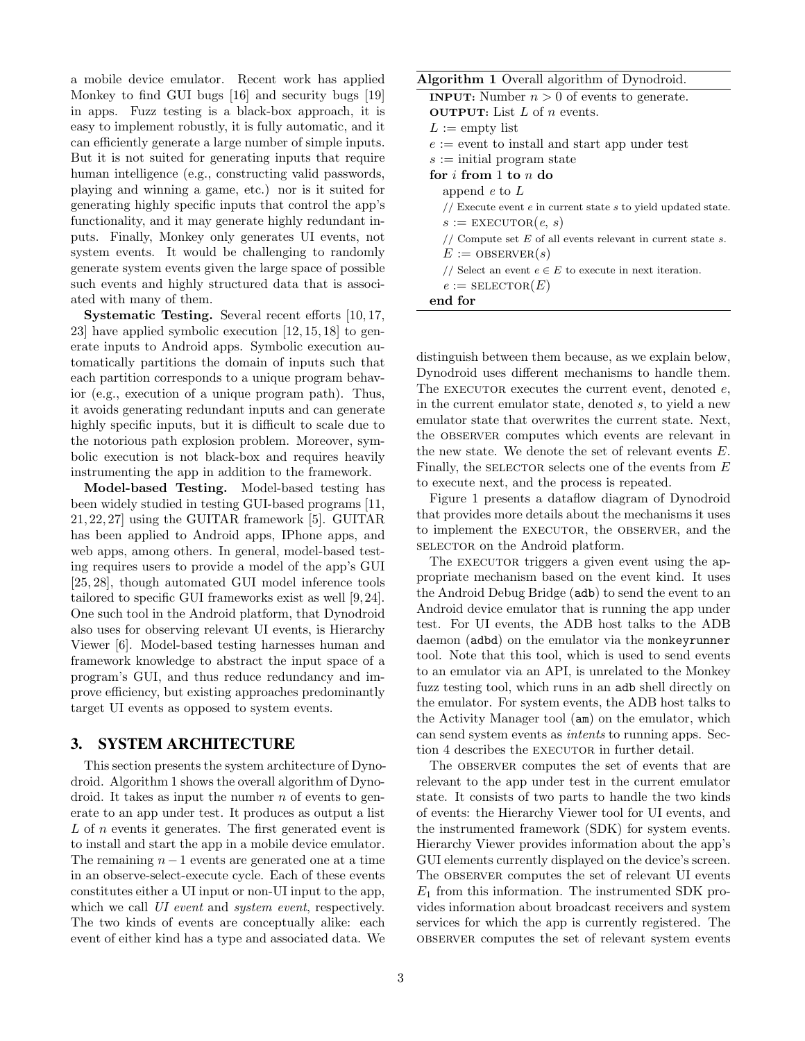a mobile device emulator. Recent work has applied Monkey to find GUI bugs [16] and security bugs [19] in apps. Fuzz testing is a black-box approach, it is easy to implement robustly, it is fully automatic, and it can efficiently generate a large number of simple inputs. But it is not suited for generating inputs that require human intelligence (e.g., constructing valid passwords, playing and winning a game, etc.) nor is it suited for generating highly specific inputs that control the app's functionality, and it may generate highly redundant inputs. Finally, Monkey only generates UI events, not system events. It would be challenging to randomly generate system events given the large space of possible such events and highly structured data that is associated with many of them.

Systematic Testing. Several recent efforts [10, 17, 23] have applied symbolic execution [12, 15, 18] to generate inputs to Android apps. Symbolic execution automatically partitions the domain of inputs such that each partition corresponds to a unique program behavior (e.g., execution of a unique program path). Thus, it avoids generating redundant inputs and can generate highly specific inputs, but it is difficult to scale due to the notorious path explosion problem. Moreover, symbolic execution is not black-box and requires heavily instrumenting the app in addition to the framework.

Model-based Testing. Model-based testing has been widely studied in testing GUI-based programs [11, 21, 22, 27] using the GUITAR framework [5]. GUITAR has been applied to Android apps, IPhone apps, and web apps, among others. In general, model-based testing requires users to provide a model of the app's GUI [25, 28], though automated GUI model inference tools tailored to specific GUI frameworks exist as well [9, 24]. One such tool in the Android platform, that Dynodroid also uses for observing relevant UI events, is Hierarchy Viewer [6]. Model-based testing harnesses human and framework knowledge to abstract the input space of a program's GUI, and thus reduce redundancy and improve efficiency, but existing approaches predominantly target UI events as opposed to system events.

## 3. SYSTEM ARCHITECTURE

This section presents the system architecture of Dynodroid. Algorithm 1 shows the overall algorithm of Dynodroid. It takes as input the number  $n$  of events to generate to an app under test. It produces as output a list L of n events it generates. The first generated event is to install and start the app in a mobile device emulator. The remaining  $n-1$  events are generated one at a time in an observe-select-execute cycle. Each of these events constitutes either a UI input or non-UI input to the app, which we call UI event and *system event*, respectively. The two kinds of events are conceptually alike: each event of either kind has a type and associated data. We

| Algorithm 1 Overall algorithm of Dynodroid.                       |
|-------------------------------------------------------------------|
| <b>INPUT:</b> Number $n > 0$ of events to generate.               |
| <b>OUTPUT:</b> List L of n events.                                |
| $L :=$ empty list                                                 |
| $e :=$ event to install and start app under test                  |
| $s := \text{initial program state}$                               |
| for $i$ from 1 to $n$ do                                          |
| append $e$ to $L$                                                 |
| // Execute event $e$ in current state $s$ to yield updated state. |
| $s :=$ EXECUTOR $(e, s)$                                          |
| // Compute set $E$ of all events relevant in current state $s$ .  |
| $E :=$ OBSERVER $(s)$                                             |
| // Select an event $e \in E$ to execute in next iteration.        |
| $e := \text{SELECTOR}(E)$                                         |
| end for                                                           |

distinguish between them because, as we explain below, Dynodroid uses different mechanisms to handle them. The EXECUTOR executes the current event, denoted  $e$ , in the current emulator state, denoted s, to yield a new emulator state that overwrites the current state. Next, the observer computes which events are relevant in the new state. We denote the set of relevant events E. Finally, the SELECTOR selects one of the events from  $E$ to execute next, and the process is repeated.

Figure 1 presents a dataflow diagram of Dynodroid that provides more details about the mechanisms it uses to implement the EXECUTOR, the OBSERVER, and the selector on the Android platform.

The EXECUTOR triggers a given event using the appropriate mechanism based on the event kind. It uses the Android Debug Bridge (adb) to send the event to an Android device emulator that is running the app under test. For UI events, the ADB host talks to the ADB daemon (adbd) on the emulator via the monkeyrunner tool. Note that this tool, which is used to send events to an emulator via an API, is unrelated to the Monkey fuzz testing tool, which runs in an adb shell directly on the emulator. For system events, the ADB host talks to the Activity Manager tool (am) on the emulator, which can send system events as intents to running apps. Section 4 describes the EXECUTOR in further detail.

The OBSERVER computes the set of events that are relevant to the app under test in the current emulator state. It consists of two parts to handle the two kinds of events: the Hierarchy Viewer tool for UI events, and the instrumented framework (SDK) for system events. Hierarchy Viewer provides information about the app's GUI elements currently displayed on the device's screen. The observer computes the set of relevant UI events  $E_1$  from this information. The instrumented SDK provides information about broadcast receivers and system services for which the app is currently registered. The observer computes the set of relevant system events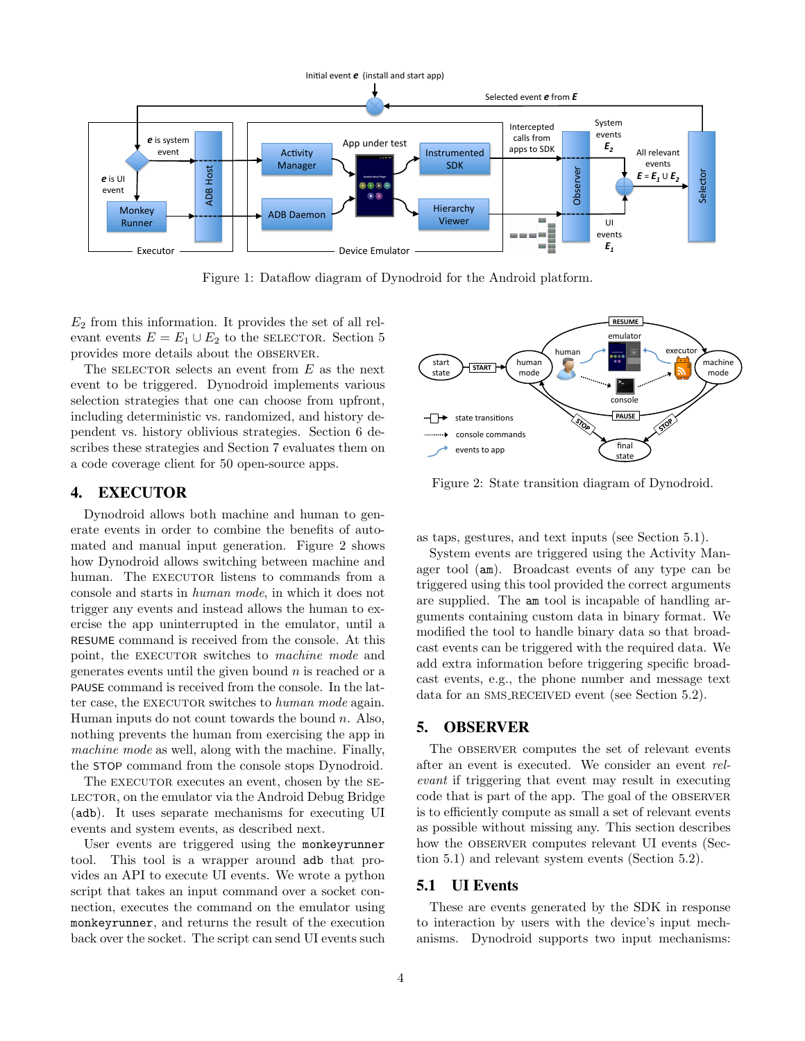

Figure 1: Dataflow diagram of Dynodroid for the Android platform.

 $E_2$  from this information. It provides the set of all relevant events  $E = E_1 \cup E_2$  to the SELECTOR. Section 5 provides more details about the observer.

The SELECTOR selects an event from  $E$  as the next event to be triggered. Dynodroid implements various selection strategies that one can choose from upfront, including deterministic vs. randomized, and history dependent vs. history oblivious strategies. Section 6 describes these strategies and Section 7 evaluates them on a code coverage client for 50 open-source apps.

## 4. EXECUTOR

Dynodroid allows both machine and human to generate events in order to combine the benefits of automated and manual input generation. Figure 2 shows how Dynodroid allows switching between machine and human. The EXECUTOR listens to commands from a console and starts in human mode, in which it does not trigger any events and instead allows the human to exercise the app uninterrupted in the emulator, until a RESUME command is received from the console. At this point, the EXECUTOR switches to *machine mode* and generates events until the given bound  $n$  is reached or a PAUSE command is received from the console. In the latter case, the EXECUTOR switches to human mode again. Human inputs do not count towards the bound  $n$ . Also, nothing prevents the human from exercising the app in machine mode as well, along with the machine. Finally, the STOP command from the console stops Dynodroid.

The EXECUTOR executes an event, chosen by the SE-LECTOR, on the emulator via the Android Debug Bridge (adb). It uses separate mechanisms for executing UI events and system events, as described next.

User events are triggered using the monkeyrunner tool. This tool is a wrapper around adb that provides an API to execute UI events. We wrote a python script that takes an input command over a socket connection, executes the command on the emulator using monkeyrunner, and returns the result of the execution back over the socket. The script can send UI events such



Figure 2: State transition diagram of Dynodroid.

as taps, gestures, and text inputs (see Section 5.1).

System events are triggered using the Activity Manager tool (am). Broadcast events of any type can be triggered using this tool provided the correct arguments are supplied. The am tool is incapable of handling arguments containing custom data in binary format. We modified the tool to handle binary data so that broadcast events can be triggered with the required data. We add extra information before triggering specific broadcast events, e.g., the phone number and message text data for an SMS RECEIVED event (see Section 5.2).

## 5. OBSERVER

The OBSERVER computes the set of relevant events after an event is executed. We consider an event relevant if triggering that event may result in executing code that is part of the app. The goal of the OBSERVER is to efficiently compute as small a set of relevant events as possible without missing any. This section describes how the OBSERVER computes relevant UI events (Section 5.1) and relevant system events (Section 5.2).

## 5.1 UI Events

These are events generated by the SDK in response to interaction by users with the device's input mechanisms. Dynodroid supports two input mechanisms: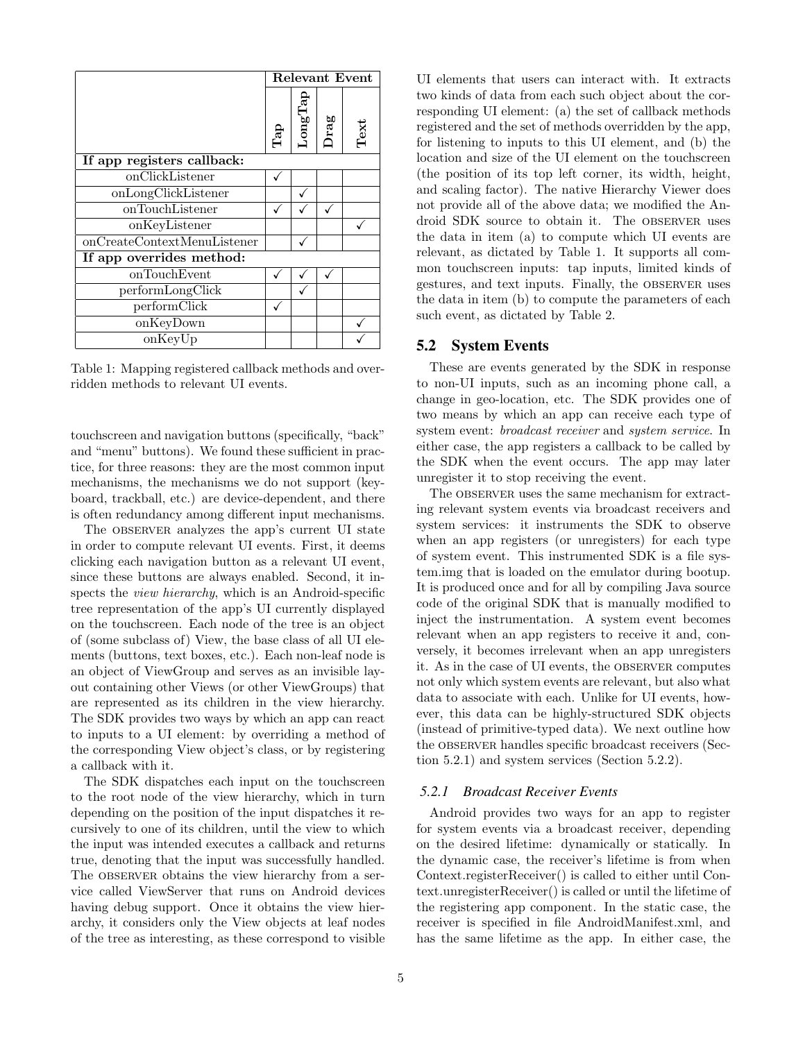|                             | <b>Relevant Event</b> |                               |      |      |
|-----------------------------|-----------------------|-------------------------------|------|------|
|                             | $\mathbf{f}$          | $\mathbf{longT}{\mathbf{ap}}$ | Jrag | Text |
| If app registers callback:  |                       |                               |      |      |
| onClickListener             |                       |                               |      |      |
| onLongClickListener         |                       |                               |      |      |
| onTouchListener             |                       |                               |      |      |
| onKeyListener               |                       |                               |      |      |
| onCreateContextMenuListener |                       |                               |      |      |
| If app overrides method:    |                       |                               |      |      |
| onTouchEvent                |                       |                               |      |      |
| performLongClick            |                       |                               |      |      |
| performClick                |                       |                               |      |      |
| onKeyDown                   |                       |                               |      |      |
| onKeyUp                     |                       |                               |      |      |

Table 1: Mapping registered callback methods and overridden methods to relevant UI events.

touchscreen and navigation buttons (specifically, "back" and "menu" buttons). We found these sufficient in practice, for three reasons: they are the most common input mechanisms, the mechanisms we do not support (keyboard, trackball, etc.) are device-dependent, and there is often redundancy among different input mechanisms.

The observer analyzes the app's current UI state in order to compute relevant UI events. First, it deems clicking each navigation button as a relevant UI event, since these buttons are always enabled. Second, it inspects the *view hierarchy*, which is an Android-specific tree representation of the app's UI currently displayed on the touchscreen. Each node of the tree is an object of (some subclass of) View, the base class of all UI elements (buttons, text boxes, etc.). Each non-leaf node is an object of ViewGroup and serves as an invisible layout containing other Views (or other ViewGroups) that are represented as its children in the view hierarchy. The SDK provides two ways by which an app can react to inputs to a UI element: by overriding a method of the corresponding View object's class, or by registering a callback with it.

The SDK dispatches each input on the touchscreen to the root node of the view hierarchy, which in turn depending on the position of the input dispatches it recursively to one of its children, until the view to which the input was intended executes a callback and returns true, denoting that the input was successfully handled. The observer obtains the view hierarchy from a service called ViewServer that runs on Android devices having debug support. Once it obtains the view hierarchy, it considers only the View objects at leaf nodes of the tree as interesting, as these correspond to visible

UI elements that users can interact with. It extracts two kinds of data from each such object about the corresponding UI element: (a) the set of callback methods registered and the set of methods overridden by the app, for listening to inputs to this UI element, and (b) the location and size of the UI element on the touchscreen (the position of its top left corner, its width, height, and scaling factor). The native Hierarchy Viewer does not provide all of the above data; we modified the Android SDK source to obtain it. The observer uses the data in item (a) to compute which UI events are relevant, as dictated by Table 1. It supports all common touchscreen inputs: tap inputs, limited kinds of gestures, and text inputs. Finally, the observer uses the data in item (b) to compute the parameters of each such event, as dictated by Table 2.

#### 5.2 System Events

These are events generated by the SDK in response to non-UI inputs, such as an incoming phone call, a change in geo-location, etc. The SDK provides one of two means by which an app can receive each type of system event: broadcast receiver and system service. In either case, the app registers a callback to be called by the SDK when the event occurs. The app may later unregister it to stop receiving the event.

The OBSERVER uses the same mechanism for extracting relevant system events via broadcast receivers and system services: it instruments the SDK to observe when an app registers (or unregisters) for each type of system event. This instrumented SDK is a file system.img that is loaded on the emulator during bootup. It is produced once and for all by compiling Java source code of the original SDK that is manually modified to inject the instrumentation. A system event becomes relevant when an app registers to receive it and, conversely, it becomes irrelevant when an app unregisters it. As in the case of UI events, the observer computes not only which system events are relevant, but also what data to associate with each. Unlike for UI events, however, this data can be highly-structured SDK objects (instead of primitive-typed data). We next outline how the observer handles specific broadcast receivers (Section 5.2.1) and system services (Section 5.2.2).

#### *5.2.1 Broadcast Receiver Events*

Android provides two ways for an app to register for system events via a broadcast receiver, depending on the desired lifetime: dynamically or statically. In the dynamic case, the receiver's lifetime is from when Context.registerReceiver() is called to either until Context.unregisterReceiver() is called or until the lifetime of the registering app component. In the static case, the receiver is specified in file AndroidManifest.xml, and has the same lifetime as the app. In either case, the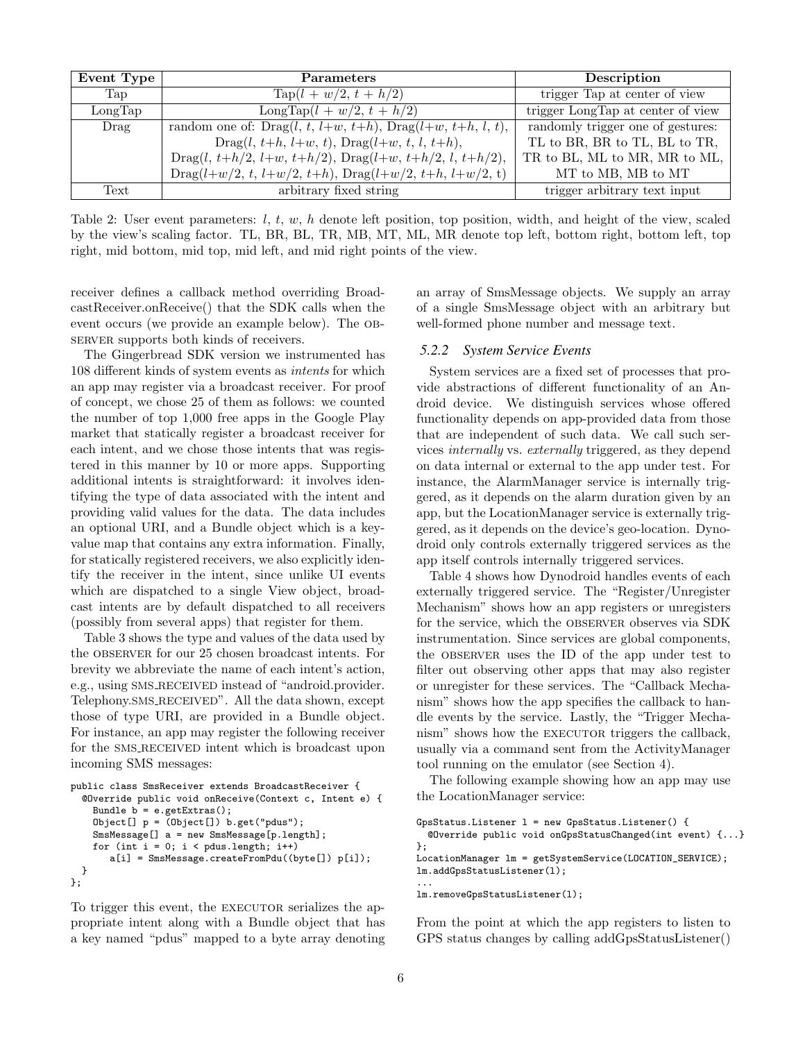| Event Type | Parameters                                                                       | Description                       |
|------------|----------------------------------------------------------------------------------|-----------------------------------|
| Tap        | $\text{Tap}(l + w/2, t + h/2)$                                                   | trigger Tap at center of view     |
| LongTap    | $\text{LongTap}(l + w/2, t + h/2)$                                               | trigger LongTap at center of view |
| Drag       | random one of: $\text{ Drag}(l, t, l+w, t+h)$ , $\text{ Drag}(l+w, t+h, l, t)$ , | randomly trigger one of gestures: |
|            | $\text{ Drag}(l, t+h, l+w, t), \text{ Drag}(l+w, t, l, t+h),$                    | TL to BR, BR to TL, BL to TR,     |
|            | $\text{Diag}(l, t+h/2, l+w, t+h/2), \text{Diag}(l+w, t+h/2, l, t+h/2),$          | TR to BL, ML to MR, MR to ML,     |
|            | $\text{ Drag}(l+w/2, t, l+w/2, t+h), \text{ Drag}(l+w/2, t+h, l+w/2, t)$         | MT to MB, MB to MT                |
| Text       | arbitrary fixed string                                                           | trigger arbitrary text input      |

Table 2: User event parameters:  $l, t, w, h$  denote left position, top position, width, and height of the view, scaled by the view's scaling factor. TL, BR, BL, TR, MB, MT, ML, MR denote top left, bottom right, bottom left, top right, mid bottom, mid top, mid left, and mid right points of the view.

receiver defines a callback method overriding BroadcastReceiver.onReceive() that the SDK calls when the event occurs (we provide an example below). The observer supports both kinds of receivers.

The Gingerbread SDK version we instrumented has 108 different kinds of system events as intents for which an app may register via a broadcast receiver. For proof of concept, we chose 25 of them as follows: we counted the number of top 1,000 free apps in the Google Play market that statically register a broadcast receiver for each intent, and we chose those intents that was registered in this manner by 10 or more apps. Supporting additional intents is straightforward: it involves identifying the type of data associated with the intent and providing valid values for the data. The data includes an optional URI, and a Bundle object which is a keyvalue map that contains any extra information. Finally, for statically registered receivers, we also explicitly identify the receiver in the intent, since unlike UI events which are dispatched to a single View object, broadcast intents are by default dispatched to all receivers (possibly from several apps) that register for them.

Table 3 shows the type and values of the data used by the observer for our 25 chosen broadcast intents. For brevity we abbreviate the name of each intent's action, e.g., using SMS RECEIVED instead of "android.provider. Telephony.SMS RECEIVED". All the data shown, except those of type URI, are provided in a Bundle object. For instance, an app may register the following receiver for the SMS RECEIVED intent which is broadcast upon incoming SMS messages:

```
public class SmsReceiver extends BroadcastReceiver {
  @Override public void onReceive(Context c, Intent e) {
   Bundle b = e.getExtras();
   Object[] p = (Object[]) b.get("pdus");
   SmsMessage[] a = new SmsMessage[p.length];
   for (int i = 0; i < pdus.length; i++)a[i] = SmsMessage.createFromPdu((byte[]) p[i]);
 }
};
```
To trigger this event, the EXECUTOR serializes the appropriate intent along with a Bundle object that has a key named "pdus" mapped to a byte array denoting an array of SmsMessage objects. We supply an array of a single SmsMessage object with an arbitrary but well-formed phone number and message text.

#### *5.2.2 System Service Events*

System services are a fixed set of processes that provide abstractions of different functionality of an Android device. We distinguish services whose offered functionality depends on app-provided data from those that are independent of such data. We call such services internally vs. externally triggered, as they depend on data internal or external to the app under test. For instance, the AlarmManager service is internally triggered, as it depends on the alarm duration given by an app, but the LocationManager service is externally triggered, as it depends on the device's geo-location. Dynodroid only controls externally triggered services as the app itself controls internally triggered services.

Table 4 shows how Dynodroid handles events of each externally triggered service. The "Register/Unregister Mechanism" shows how an app registers or unregisters for the service, which the observer observes via SDK instrumentation. Since services are global components, the observer uses the ID of the app under test to filter out observing other apps that may also register or unregister for these services. The "Callback Mechanism" shows how the app specifies the callback to handle events by the service. Lastly, the "Trigger Mechanism" shows how the EXECUTOR triggers the callback, usually via a command sent from the ActivityManager tool running on the emulator (see Section 4).

The following example showing how an app may use the LocationManager service:

```
GpsStatus.Listener l = new GpsStatus.Listener() {
 @Override public void onGpsStatusChanged(int event) {...}
};
LocationManager lm = getSystemService(LOCATION_SERVICE);
lm.addGpsStatusListener(l);
...
lm.removeGpsStatusListener(l);
```
From the point at which the app registers to listen to GPS status changes by calling addGpsStatusListener()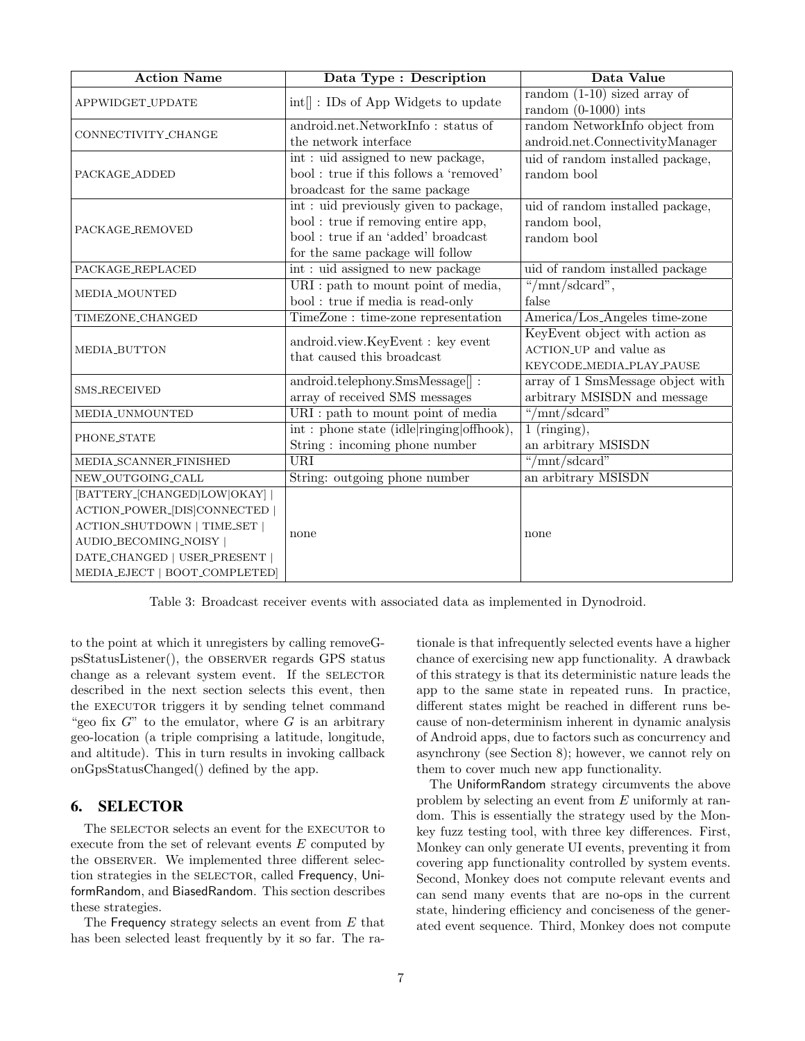| <b>Action Name</b>                                                                                                                                                                              | Data Type : Description                                                                                                                               | Data Value                                                                           |
|-------------------------------------------------------------------------------------------------------------------------------------------------------------------------------------------------|-------------------------------------------------------------------------------------------------------------------------------------------------------|--------------------------------------------------------------------------------------|
| APPWIDGET_UPDATE                                                                                                                                                                                | $int[]$ : IDs of App Widgets to update                                                                                                                | $\sqrt{\text{random} (1-10)}$ sized array of<br>random $(0-1000)$ ints               |
| CONNECTIVITY_CHANGE                                                                                                                                                                             | android.net.NetworkInfo: status of<br>the network interface                                                                                           | random NetworkInfo object from<br>android.net.ConnectivityManager                    |
| PACKAGE_ADDED                                                                                                                                                                                   | int: uid assigned to new package,<br>bool: true if this follows a 'removed'<br>broadcast for the same package                                         | uid of random installed package,<br>$\,$ random bool                                 |
| PACKAGE_REMOVED                                                                                                                                                                                 | int: uid previously given to package,<br>bool: true if removing entire app,<br>bool: true if an 'added' broadcast<br>for the same package will follow | uid of random installed package,<br>random bool,<br>random bool                      |
| PACKAGE_REPLACED                                                                                                                                                                                | int: uid assigned to new package                                                                                                                      | uid of random installed package                                                      |
| MEDIA_MOUNTED                                                                                                                                                                                   | URI : path to mount point of media,<br>bool: true if media is read-only                                                                               | "/mnt/sdcard",<br>false                                                              |
| TIMEZONE_CHANGED                                                                                                                                                                                | TimeZone: time-zone representation                                                                                                                    | America/Los_Angeles time-zone                                                        |
| MEDIA_BUTTON                                                                                                                                                                                    | android.view.KeyEvent : key event<br>that caused this broadcast                                                                                       | KeyEvent object with action as<br>ACTION_UP and value as<br>KEYCODE_MEDIA_PLAY_PAUSE |
| <b>SMS_RECEIVED</b>                                                                                                                                                                             | android.telephony.SmsMessage[]:<br>array of received SMS messages                                                                                     | array of 1 SmsMessage object with<br>arbitrary MSISDN and message                    |
| MEDIA_UNMOUNTED                                                                                                                                                                                 | URI : path to mount point of media                                                                                                                    | "/mnt/sdcard"                                                                        |
| PHONE_STATE                                                                                                                                                                                     | $int:$ phone state (idle ringing offhook),<br>String: incoming phone number                                                                           | $\overline{1 \text{ (ringing)}},$<br>an arbitrary MSISDN                             |
| MEDIA_SCANNER_FINISHED                                                                                                                                                                          | URI                                                                                                                                                   | "/mnt/sdcard"                                                                        |
| NEW_OUTGOING_CALL                                                                                                                                                                               | String: outgoing phone number                                                                                                                         | an arbitrary MSISDN                                                                  |
| [BATTERY_[CHANGED LOW OKAY]  <br>ACTION_POWER_[DIS]CONNECTED  <br><b>ACTION_SHUTDOWN   TIME_SET</b><br>AUDIO_BECOMING_NOISY  <br>DATE_CHANGED   USER_PRESENT  <br>MEDIA_EJECT   BOOT_COMPLETED] | none                                                                                                                                                  | none                                                                                 |

Table 3: Broadcast receiver events with associated data as implemented in Dynodroid.

to the point at which it unregisters by calling removeGpsStatusListener(), the observer regards GPS status change as a relevant system event. If the SELECTOR described in the next section selects this event, then the EXECUTOR triggers it by sending telnet command "geo fix  $G$ " to the emulator, where  $G$  is an arbitrary geo-location (a triple comprising a latitude, longitude, and altitude). This in turn results in invoking callback onGpsStatusChanged() defined by the app.

## 6. SELECTOR

The SELECTOR selects an event for the EXECUTOR to execute from the set of relevant events  $E$  computed by the observer. We implemented three different selection strategies in the SELECTOR, called Frequency, UniformRandom, and BiasedRandom. This section describes these strategies.

The Frequency strategy selects an event from  $E$  that has been selected least frequently by it so far. The rationale is that infrequently selected events have a higher chance of exercising new app functionality. A drawback of this strategy is that its deterministic nature leads the app to the same state in repeated runs. In practice, different states might be reached in different runs because of non-determinism inherent in dynamic analysis of Android apps, due to factors such as concurrency and asynchrony (see Section 8); however, we cannot rely on them to cover much new app functionality.

The UniformRandom strategy circumvents the above problem by selecting an event from E uniformly at random. This is essentially the strategy used by the Monkey fuzz testing tool, with three key differences. First, Monkey can only generate UI events, preventing it from covering app functionality controlled by system events. Second, Monkey does not compute relevant events and can send many events that are no-ops in the current state, hindering efficiency and conciseness of the generated event sequence. Third, Monkey does not compute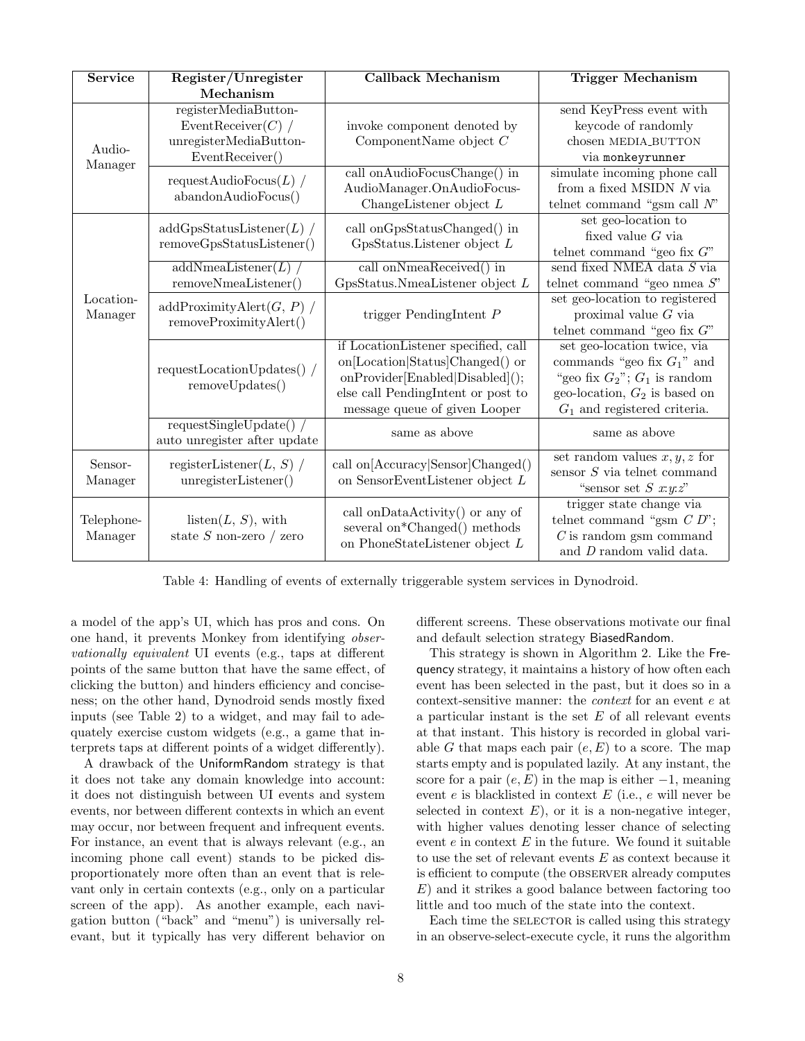| <b>Service</b>        | Register/Unregister                                                   | <b>Callback Mechanism</b>               | <b>Trigger Mechanism</b>          |
|-----------------------|-----------------------------------------------------------------------|-----------------------------------------|-----------------------------------|
|                       | Mechanism                                                             |                                         |                                   |
|                       | registerMediaButton-                                                  |                                         | send KeyPress event with          |
| Audio-                | EventReceiver $(C)$ /                                                 | invoke component denoted by             | keycode of randomly               |
|                       | unregisterMediaButton-                                                | ComponentName object $C$                | chosen MEDIA_BUTTON               |
| Manager               | EventReceiver()                                                       |                                         | via monkeyrunner                  |
|                       | requestAudioFocus $(L)$ /                                             | call onAudioFocusChange() in            | simulate incoming phone call      |
|                       | abandonAudioFocus()                                                   | AudioManager.OnAudioFocus-              | from a fixed MSIDN N via          |
|                       |                                                                       | ChangeListener object $L$               | telnet command "gsm call $N$ "    |
|                       | $addGpsStatusListener(L)$ /                                           | call onGpsStatusChanged() in            | set geo-location to               |
|                       | removeGpsStatusListener()                                             | GpsStatus.Listener object L             | fixed value $G$ via               |
|                       |                                                                       |                                         | telnet command "geo fix $G$ "     |
|                       | addNmeaListener $(L)$ /                                               | call onNmeaReceived() in                | send fixed NMEA data S via        |
|                       | removeNmeaListener()                                                  | GpsStatus.Nmealistener object L         | telnet command "geo nmea $S$ "    |
| Location-<br>Manager  | addProximityAlert $(G, P)$ /                                          |                                         | set geo-location to registered    |
|                       | removeProximityAlert()                                                | trigger PendingIntent $P$               | proximal value $G$ via            |
|                       |                                                                       |                                         | telnet command "geo fix $G$ "     |
|                       |                                                                       | if LocationListener specified, call     | set geo-location twice, via       |
|                       | requestLocationUpdates() /                                            | on[Location]Status]Changed() or         | commands "geo fix $G_1$ " and     |
|                       | removeUpdates()                                                       | onProvider[Enabled]Disabled]();         | "geo fix $G_2$ "; $G_1$ is random |
|                       |                                                                       | else call PendingIntent or post to      | geo-location, $G_2$ is based on   |
|                       |                                                                       | message queue of given Looper           | $G_1$ and registered criteria.    |
|                       | requestSingleUpdate()<br>auto unregister after update                 | same as above                           | same as above                     |
|                       |                                                                       |                                         | set random values $x, y, z$ for   |
| Sensor-               | registerListener $(L, S)$ /                                           | call on [Accuracy   Sensor   Changed () | sensor $S$ via telnet command     |
| Manager               | unregisterListener()                                                  | on SensorEventListener object $L$       | "sensor set $S$ x: $y:z$ "        |
| Telephone-<br>Manager |                                                                       |                                         | trigger state change via          |
|                       | $\text{listen}(L, S)$ , with<br>state $S$ non-zero $\frac{1}{2}$ zero | call onDataActivity() or any of         | telnet command "gsm $C D$ ";      |
|                       |                                                                       | several on*Changed() methods            | $C$ is random gsm command         |
|                       |                                                                       | on PhoneStateListener object $L$        | and $D$ random valid data.        |

Table 4: Handling of events of externally triggerable system services in Dynodroid.

a model of the app's UI, which has pros and cons. On one hand, it prevents Monkey from identifying observationally equivalent UI events (e.g., taps at different points of the same button that have the same effect, of clicking the button) and hinders efficiency and conciseness; on the other hand, Dynodroid sends mostly fixed inputs (see Table 2) to a widget, and may fail to adequately exercise custom widgets (e.g., a game that interprets taps at different points of a widget differently).

A drawback of the UniformRandom strategy is that it does not take any domain knowledge into account: it does not distinguish between UI events and system events, nor between different contexts in which an event may occur, nor between frequent and infrequent events. For instance, an event that is always relevant (e.g., an incoming phone call event) stands to be picked disproportionately more often than an event that is relevant only in certain contexts (e.g., only on a particular screen of the app). As another example, each navigation button ("back" and "menu") is universally relevant, but it typically has very different behavior on different screens. These observations motivate our final and default selection strategy BiasedRandom.

This strategy is shown in Algorithm 2. Like the Frequency strategy, it maintains a history of how often each event has been selected in the past, but it does so in a context-sensitive manner: the context for an event e at a particular instant is the set  $E$  of all relevant events at that instant. This history is recorded in global variable G that maps each pair  $(e, E)$  to a score. The map starts empty and is populated lazily. At any instant, the score for a pair  $(e, E)$  in the map is either  $-1$ , meaning event e is blacklisted in context E (i.e., e will never be selected in context  $E$ ), or it is a non-negative integer, with higher values denoting lesser chance of selecting event  $e$  in context  $E$  in the future. We found it suitable to use the set of relevant events E as context because it is efficient to compute (the observer already computes E) and it strikes a good balance between factoring too little and too much of the state into the context.

Each time the SELECTOR is called using this strategy in an observe-select-execute cycle, it runs the algorithm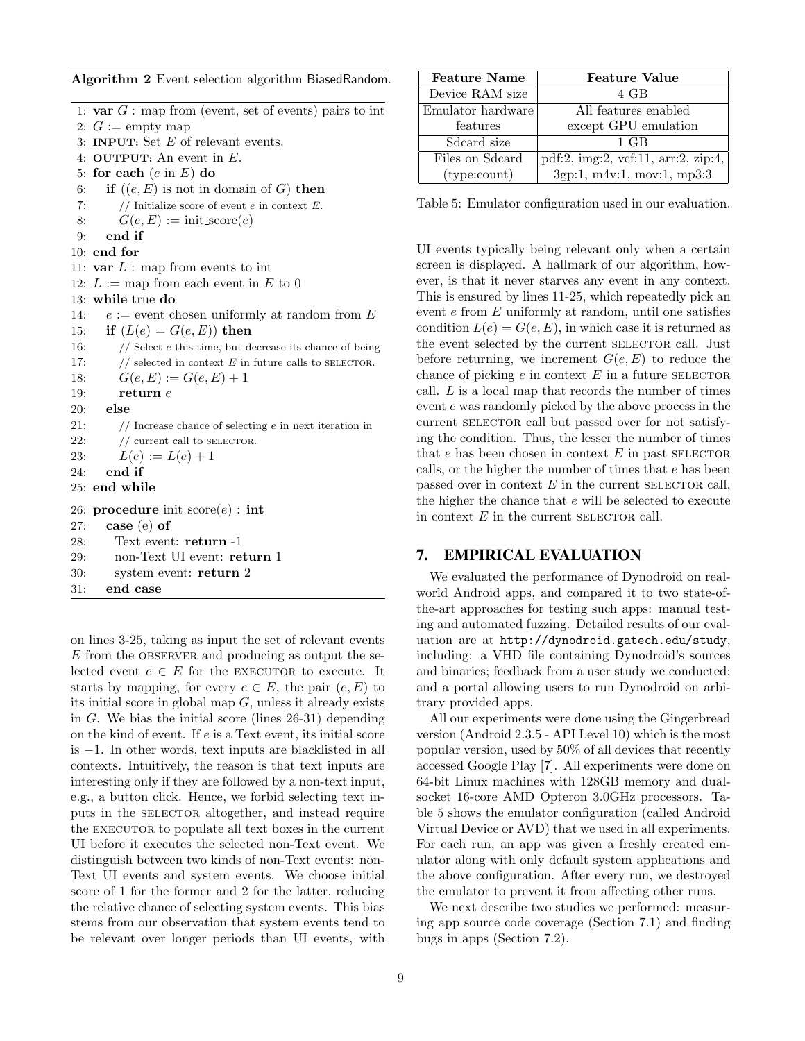Algorithm 2 Event selection algorithm BiasedRandom.

1: var  $G$  : map from (event, set of events) pairs to int 2:  $G := \text{empty map}$ 3: **INPUT:** Set  $E$  of relevant events. 4: OUTPUT: An event in E. 5: for each  $(e \text{ in } E)$  do 6: if  $((e, E)$  is not in domain of G) then 7:  $//$  Initialize score of event e in context  $E$ . 8:  $G(e, E) := \text{init\_score}(e)$ 9: end if 10: end for 11: var  $L$  : map from events to int 12:  $L := \text{map from each event in } E \text{ to } 0$ 13: while true do 14:  $e :=$  event chosen uniformly at random from E 15: **if**  $(L(e) = G(e, E))$  then 16: // Select e this time, but decrease its chance of being 17:  $//$  selected in context  $E$  in future calls to SELECTOR. 18:  $G(e, E) := G(e, E) + 1$ 19: return  $e$ 20: else 21:  $//$  Increase chance of selecting  $e$  in next iteration in  $22:$  // current call to SELECTOR. 23:  $L(e) := L(e) + 1$ 24: end if 25: end while 26: procedure init\_score $(e)$ : int 27: case (e) of 28: Text event: return -1 29: non-Text UI event: return 1 30: system event: return 2 31: end case

on lines 3-25, taking as input the set of relevant events  $E$  from the OBSERVER and producing as output the selected event  $e \in E$  for the EXECUTOR to execute. It starts by mapping, for every  $e \in E$ , the pair  $(e, E)$  to its initial score in global map  $G$ , unless it already exists in G. We bias the initial score (lines 26-31) depending on the kind of event. If e is a Text event, its initial score is −1. In other words, text inputs are blacklisted in all contexts. Intuitively, the reason is that text inputs are interesting only if they are followed by a non-text input, e.g., a button click. Hence, we forbid selecting text inputs in the SELECTOR altogether, and instead require the EXECUTOR to populate all text boxes in the current UI before it executes the selected non-Text event. We distinguish between two kinds of non-Text events: non-Text UI events and system events. We choose initial score of 1 for the former and 2 for the latter, reducing the relative chance of selecting system events. This bias stems from our observation that system events tend to be relevant over longer periods than UI events, with

| <b>Feature Name</b> | <b>Feature Value</b>                   |
|---------------------|----------------------------------------|
| Device RAM size     | 4 GB                                   |
| Emulator hardware   | All features enabled                   |
| features            | except GPU emulation                   |
| Sdcard size         | 1 GB                                   |
| Files on Sdcard     | pdf:2, img:2, vcf:11, $arr:2$ , zip:4, |
| (type:count)        | 3gp:1, m4v:1, mov:1, mp3:3             |

Table 5: Emulator configuration used in our evaluation.

UI events typically being relevant only when a certain screen is displayed. A hallmark of our algorithm, however, is that it never starves any event in any context. This is ensured by lines 11-25, which repeatedly pick an event e from E uniformly at random, until one satisfies condition  $L(e) = G(e, E)$ , in which case it is returned as the event selected by the current SELECTOR call. Just before returning, we increment  $G(e, E)$  to reduce the chance of picking  $e$  in context  $E$  in a future SELECTOR call. L is a local map that records the number of times event e was randomly picked by the above process in the current SELECTOR call but passed over for not satisfying the condition. Thus, the lesser the number of times that  $e$  has been chosen in context  $E$  in past SELECTOR calls, or the higher the number of times that  $e$  has been passed over in context  $E$  in the current selector call, the higher the chance that e will be selected to execute in context  $E$  in the current selectron call.

## 7. EMPIRICAL EVALUATION

We evaluated the performance of Dynodroid on realworld Android apps, and compared it to two state-ofthe-art approaches for testing such apps: manual testing and automated fuzzing. Detailed results of our evaluation are at http://dynodroid.gatech.edu/study, including: a VHD file containing Dynodroid's sources and binaries; feedback from a user study we conducted; and a portal allowing users to run Dynodroid on arbitrary provided apps.

All our experiments were done using the Gingerbread version (Android 2.3.5 - API Level 10) which is the most popular version, used by 50% of all devices that recently accessed Google Play [7]. All experiments were done on 64-bit Linux machines with 128GB memory and dualsocket 16-core AMD Opteron 3.0GHz processors. Table 5 shows the emulator configuration (called Android Virtual Device or AVD) that we used in all experiments. For each run, an app was given a freshly created emulator along with only default system applications and the above configuration. After every run, we destroyed the emulator to prevent it from affecting other runs.

We next describe two studies we performed: measuring app source code coverage (Section 7.1) and finding bugs in apps (Section 7.2).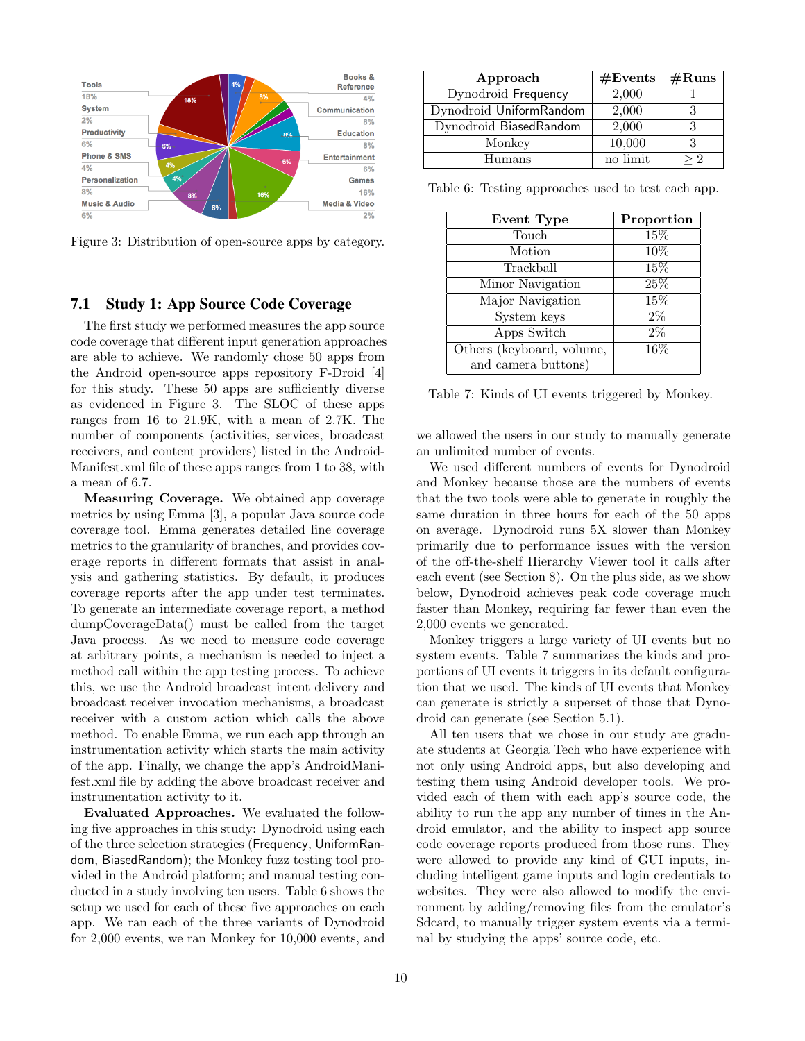

Figure 3: Distribution of open-source apps by category.

## 7.1 Study 1: App Source Code Coverage

The first study we performed measures the app source code coverage that different input generation approaches are able to achieve. We randomly chose 50 apps from the Android open-source apps repository F-Droid [4] for this study. These 50 apps are sufficiently diverse as evidenced in Figure 3. The SLOC of these apps ranges from 16 to 21.9K, with a mean of 2.7K. The number of components (activities, services, broadcast receivers, and content providers) listed in the Android-Manifest.xml file of these apps ranges from 1 to 38, with a mean of 6.7.

Measuring Coverage. We obtained app coverage metrics by using Emma [3], a popular Java source code coverage tool. Emma generates detailed line coverage metrics to the granularity of branches, and provides coverage reports in different formats that assist in analysis and gathering statistics. By default, it produces coverage reports after the app under test terminates. To generate an intermediate coverage report, a method dumpCoverageData() must be called from the target Java process. As we need to measure code coverage at arbitrary points, a mechanism is needed to inject a method call within the app testing process. To achieve this, we use the Android broadcast intent delivery and broadcast receiver invocation mechanisms, a broadcast receiver with a custom action which calls the above method. To enable Emma, we run each app through an instrumentation activity which starts the main activity of the app. Finally, we change the app's AndroidManifest.xml file by adding the above broadcast receiver and instrumentation activity to it.

Evaluated Approaches. We evaluated the following five approaches in this study: Dynodroid using each of the three selection strategies (Frequency, UniformRandom, BiasedRandom); the Monkey fuzz testing tool provided in the Android platform; and manual testing conducted in a study involving ten users. Table 6 shows the setup we used for each of these five approaches on each app. We ran each of the three variants of Dynodroid for 2,000 events, we ran Monkey for 10,000 events, and

| Approach                | #Events  | $\#\text{Runs}$ |
|-------------------------|----------|-----------------|
| Dynodroid Frequency     | 2,000    |                 |
| Dynodroid UniformRandom | 2,000    |                 |
| Dynodroid BiasedRandom  | 2,000    |                 |
| Monkey                  | 10,000   |                 |
| Humans                  | no limit | > 9             |

Table 6: Testing approaches used to test each app.

| Event Type                | Proportion |
|---------------------------|------------|
| Touch                     | 15%        |
| Motion                    | 10%        |
| Trackball                 | $15\%$     |
| Minor Navigation          | 25%        |
| Major Navigation          | 15%        |
| System keys               | $2\%$      |
| Apps Switch               | $2\%$      |
| Others (keyboard, volume, | 16%        |
| and camera buttons)       |            |

Table 7: Kinds of UI events triggered by Monkey.

we allowed the users in our study to manually generate an unlimited number of events.

We used different numbers of events for Dynodroid and Monkey because those are the numbers of events that the two tools were able to generate in roughly the same duration in three hours for each of the 50 apps on average. Dynodroid runs 5X slower than Monkey primarily due to performance issues with the version of the off-the-shelf Hierarchy Viewer tool it calls after each event (see Section 8). On the plus side, as we show below, Dynodroid achieves peak code coverage much faster than Monkey, requiring far fewer than even the 2,000 events we generated.

Monkey triggers a large variety of UI events but no system events. Table 7 summarizes the kinds and proportions of UI events it triggers in its default configuration that we used. The kinds of UI events that Monkey can generate is strictly a superset of those that Dynodroid can generate (see Section 5.1).

All ten users that we chose in our study are graduate students at Georgia Tech who have experience with not only using Android apps, but also developing and testing them using Android developer tools. We provided each of them with each app's source code, the ability to run the app any number of times in the Android emulator, and the ability to inspect app source code coverage reports produced from those runs. They were allowed to provide any kind of GUI inputs, including intelligent game inputs and login credentials to websites. They were also allowed to modify the environment by adding/removing files from the emulator's Sdcard, to manually trigger system events via a terminal by studying the apps' source code, etc.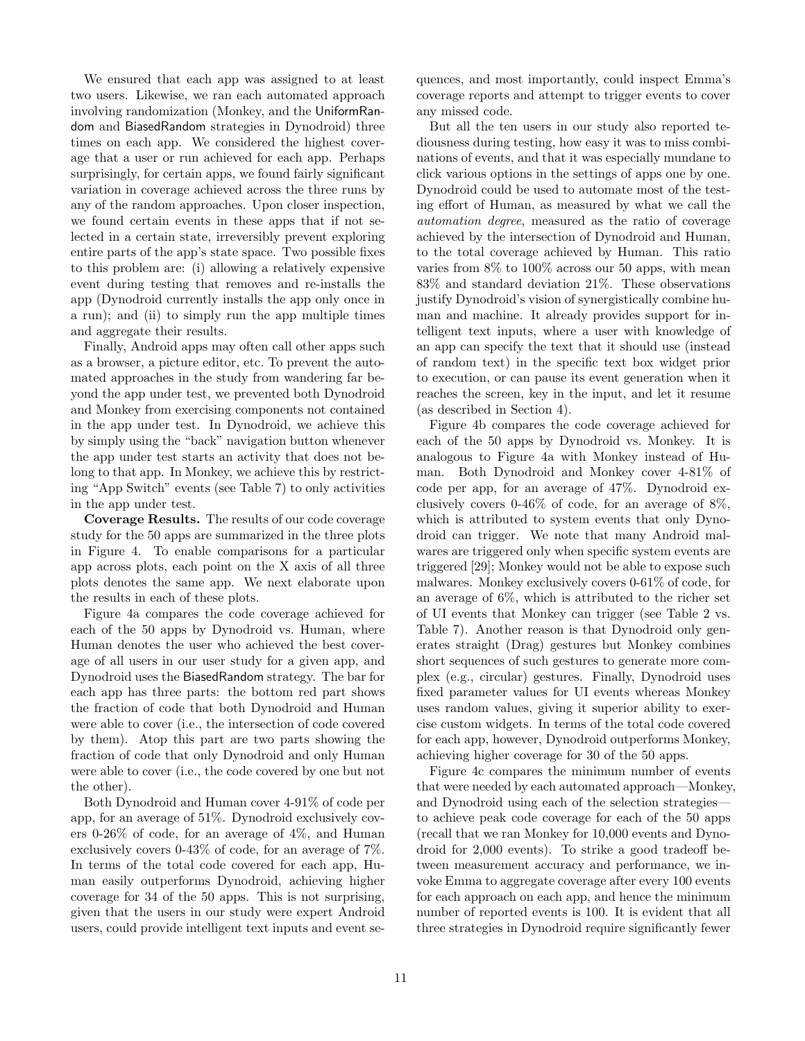We ensured that each app was assigned to at least two users. Likewise, we ran each automated approach involving randomization (Monkey, and the UniformRandom and BiasedRandom strategies in Dynodroid) three times on each app. We considered the highest coverage that a user or run achieved for each app. Perhaps surprisingly, for certain apps, we found fairly significant variation in coverage achieved across the three runs by any of the random approaches. Upon closer inspection, we found certain events in these apps that if not selected in a certain state, irreversibly prevent exploring entire parts of the app's state space. Two possible fixes to this problem are: (i) allowing a relatively expensive event during testing that removes and re-installs the app (Dynodroid currently installs the app only once in a run); and (ii) to simply run the app multiple times and aggregate their results.

Finally, Android apps may often call other apps such as a browser, a picture editor, etc. To prevent the automated approaches in the study from wandering far beyond the app under test, we prevented both Dynodroid and Monkey from exercising components not contained in the app under test. In Dynodroid, we achieve this by simply using the "back" navigation button whenever the app under test starts an activity that does not belong to that app. In Monkey, we achieve this by restricting "App Switch" events (see Table 7) to only activities in the app under test.

Coverage Results. The results of our code coverage study for the 50 apps are summarized in the three plots in Figure 4. To enable comparisons for a particular app across plots, each point on the X axis of all three plots denotes the same app. We next elaborate upon the results in each of these plots.

Figure 4a compares the code coverage achieved for each of the 50 apps by Dynodroid vs. Human, where Human denotes the user who achieved the best coverage of all users in our user study for a given app, and Dynodroid uses the BiasedRandom strategy. The bar for each app has three parts: the bottom red part shows the fraction of code that both Dynodroid and Human were able to cover (i.e., the intersection of code covered by them). Atop this part are two parts showing the fraction of code that only Dynodroid and only Human were able to cover (i.e., the code covered by one but not the other).

Both Dynodroid and Human cover 4-91% of code per app, for an average of 51%. Dynodroid exclusively covers 0-26% of code, for an average of 4%, and Human exclusively covers 0-43% of code, for an average of 7%. In terms of the total code covered for each app, Human easily outperforms Dynodroid, achieving higher coverage for 34 of the 50 apps. This is not surprising, given that the users in our study were expert Android users, could provide intelligent text inputs and event sequences, and most importantly, could inspect Emma's coverage reports and attempt to trigger events to cover any missed code.

But all the ten users in our study also reported tediousness during testing, how easy it was to miss combinations of events, and that it was especially mundane to click various options in the settings of apps one by one. Dynodroid could be used to automate most of the testing effort of Human, as measured by what we call the automation degree, measured as the ratio of coverage achieved by the intersection of Dynodroid and Human, to the total coverage achieved by Human. This ratio varies from 8% to 100% across our 50 apps, with mean 83% and standard deviation 21%. These observations justify Dynodroid's vision of synergistically combine human and machine. It already provides support for intelligent text inputs, where a user with knowledge of an app can specify the text that it should use (instead of random text) in the specific text box widget prior to execution, or can pause its event generation when it reaches the screen, key in the input, and let it resume (as described in Section 4).

Figure 4b compares the code coverage achieved for each of the 50 apps by Dynodroid vs. Monkey. It is analogous to Figure 4a with Monkey instead of Human. Both Dynodroid and Monkey cover 4-81% of code per app, for an average of 47%. Dynodroid exclusively covers 0-46% of code, for an average of 8%, which is attributed to system events that only Dynodroid can trigger. We note that many Android malwares are triggered only when specific system events are triggered [29]; Monkey would not be able to expose such malwares. Monkey exclusively covers 0-61% of code, for an average of 6%, which is attributed to the richer set of UI events that Monkey can trigger (see Table 2 vs. Table 7). Another reason is that Dynodroid only generates straight (Drag) gestures but Monkey combines short sequences of such gestures to generate more complex (e.g., circular) gestures. Finally, Dynodroid uses fixed parameter values for UI events whereas Monkey uses random values, giving it superior ability to exercise custom widgets. In terms of the total code covered for each app, however, Dynodroid outperforms Monkey, achieving higher coverage for 30 of the 50 apps.

Figure 4c compares the minimum number of events that were needed by each automated approach—Monkey, and Dynodroid using each of the selection strategies to achieve peak code coverage for each of the 50 apps (recall that we ran Monkey for 10,000 events and Dynodroid for 2,000 events). To strike a good tradeoff between measurement accuracy and performance, we invoke Emma to aggregate coverage after every 100 events for each approach on each app, and hence the minimum number of reported events is 100. It is evident that all three strategies in Dynodroid require significantly fewer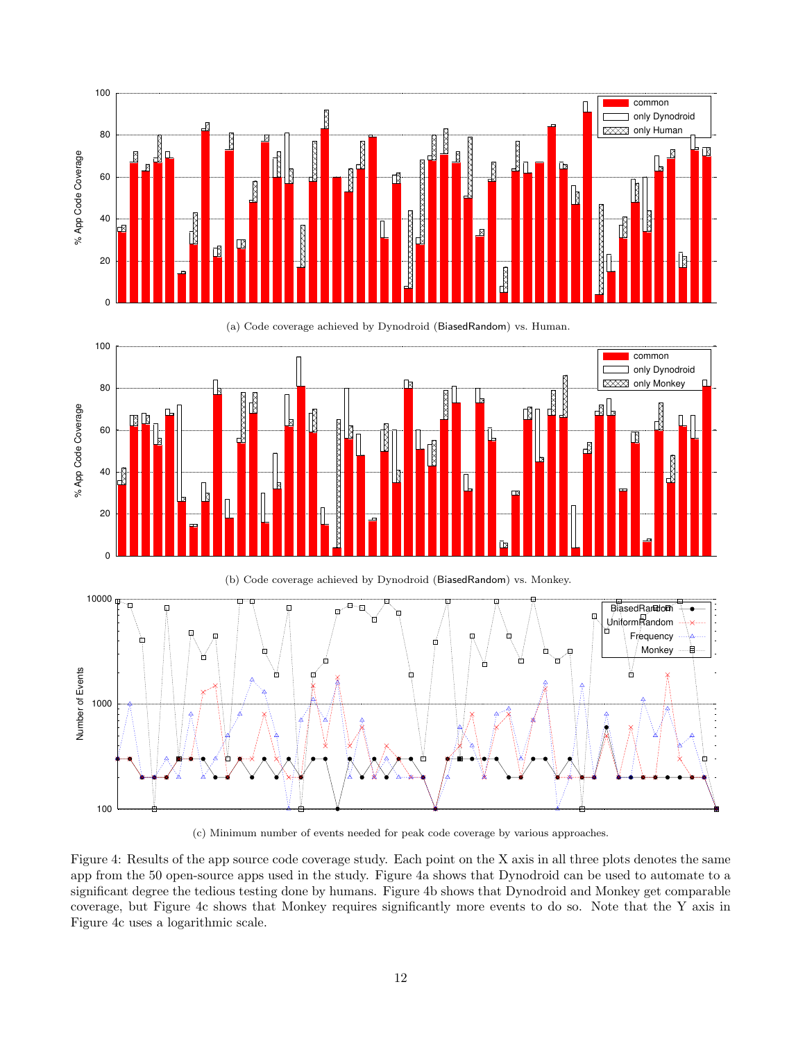

(c) Minimum number of events needed for peak code coverage by various approaches.

Figure 4: Results of the app source code coverage study. Each point on the X axis in all three plots denotes the same app from the 50 open-source apps used in the study. Figure 4a shows that Dynodroid can be used to automate to a significant degree the tedious testing done by humans. Figure 4b shows that Dynodroid and Monkey get comparable coverage, but Figure 4c shows that Monkey requires significantly more events to do so. Note that the Y axis in Figure 4c uses a logarithmic scale.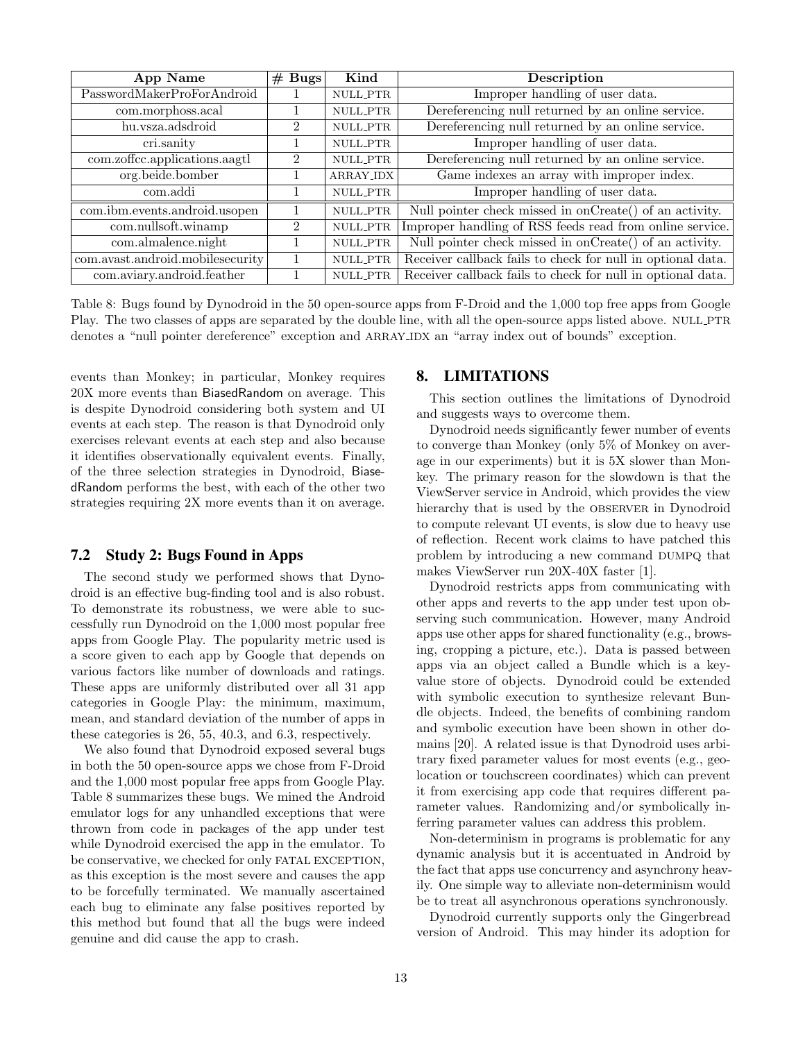| App Name                                         | $#$ Bugs       | Kind                                | Description                                                 |
|--------------------------------------------------|----------------|-------------------------------------|-------------------------------------------------------------|
| PasswordMakerProForAndroid                       |                | NULL_PTR                            | Improper handling of user data.                             |
| com.morphoss.acal                                |                | NULL_PTR                            | Dereferencing null returned by an online service.           |
| hu.vsza.adsdroid                                 | 2              | NULL_PTR                            | Dereferencing null returned by an online service.           |
| cri.sanity                                       |                | NULL_PTR                            | Improper handling of user data.                             |
| com.zoffcc.applications.aagtl                    | $\overline{2}$ | NULL_PTR                            | Dereferencing null returned by an online service.           |
| org.beide.bomber                                 |                | ARRAY_IDX                           | Game indexes an array with improper index.                  |
| com.addi                                         |                | NULL_PTR                            | Improper handling of user data.                             |
| com.ibm.events.android.usopen                    |                | NULL_PTR                            | Null pointer check missed in onCreate() of an activity.     |
| com.nullsoft.winamp                              | 2              | $\mathsf{NULL}\text{-}\mathsf{PTR}$ | Improper handling of RSS feeds read from online service.    |
| com.almalence.night                              |                | <b>NULLPTR</b>                      | Null pointer check missed in onCreate() of an activity.     |
| com.avast.android.mobilesecurity                 |                | NULL_PTR                            | Receiver callback fails to check for null in optional data. |
| $\overline{\text{com.aviary.} }$ android.feather |                | NULL_PTR                            | Receiver callback fails to check for null in optional data. |

Table 8: Bugs found by Dynodroid in the 50 open-source apps from F-Droid and the 1,000 top free apps from Google Play. The two classes of apps are separated by the double line, with all the open-source apps listed above. NULL PTR denotes a "null pointer dereference" exception and ARRAY IDX an "array index out of bounds" exception.

events than Monkey; in particular, Monkey requires 20X more events than BiasedRandom on average. This is despite Dynodroid considering both system and UI events at each step. The reason is that Dynodroid only exercises relevant events at each step and also because it identifies observationally equivalent events. Finally, of the three selection strategies in Dynodroid, BiasedRandom performs the best, with each of the other two strategies requiring 2X more events than it on average.

## 7.2 Study 2: Bugs Found in Apps

The second study we performed shows that Dynodroid is an effective bug-finding tool and is also robust. To demonstrate its robustness, we were able to successfully run Dynodroid on the 1,000 most popular free apps from Google Play. The popularity metric used is a score given to each app by Google that depends on various factors like number of downloads and ratings. These apps are uniformly distributed over all 31 app categories in Google Play: the minimum, maximum, mean, and standard deviation of the number of apps in these categories is 26, 55, 40.3, and 6.3, respectively.

We also found that Dynodroid exposed several bugs in both the 50 open-source apps we chose from F-Droid and the 1,000 most popular free apps from Google Play. Table 8 summarizes these bugs. We mined the Android emulator logs for any unhandled exceptions that were thrown from code in packages of the app under test while Dynodroid exercised the app in the emulator. To be conservative, we checked for only FATAL EXCEPTION, as this exception is the most severe and causes the app to be forcefully terminated. We manually ascertained each bug to eliminate any false positives reported by this method but found that all the bugs were indeed genuine and did cause the app to crash.

## 8. LIMITATIONS

This section outlines the limitations of Dynodroid and suggests ways to overcome them.

Dynodroid needs significantly fewer number of events to converge than Monkey (only 5% of Monkey on average in our experiments) but it is 5X slower than Monkey. The primary reason for the slowdown is that the ViewServer service in Android, which provides the view hierarchy that is used by the OBSERVER in Dynodroid to compute relevant UI events, is slow due to heavy use of reflection. Recent work claims to have patched this problem by introducing a new command DUMPQ that makes ViewServer run 20X-40X faster [1].

Dynodroid restricts apps from communicating with other apps and reverts to the app under test upon observing such communication. However, many Android apps use other apps for shared functionality (e.g., browsing, cropping a picture, etc.). Data is passed between apps via an object called a Bundle which is a keyvalue store of objects. Dynodroid could be extended with symbolic execution to synthesize relevant Bundle objects. Indeed, the benefits of combining random and symbolic execution have been shown in other domains [20]. A related issue is that Dynodroid uses arbitrary fixed parameter values for most events (e.g., geolocation or touchscreen coordinates) which can prevent it from exercising app code that requires different parameter values. Randomizing and/or symbolically inferring parameter values can address this problem.

Non-determinism in programs is problematic for any dynamic analysis but it is accentuated in Android by the fact that apps use concurrency and asynchrony heavily. One simple way to alleviate non-determinism would be to treat all asynchronous operations synchronously.

Dynodroid currently supports only the Gingerbread version of Android. This may hinder its adoption for